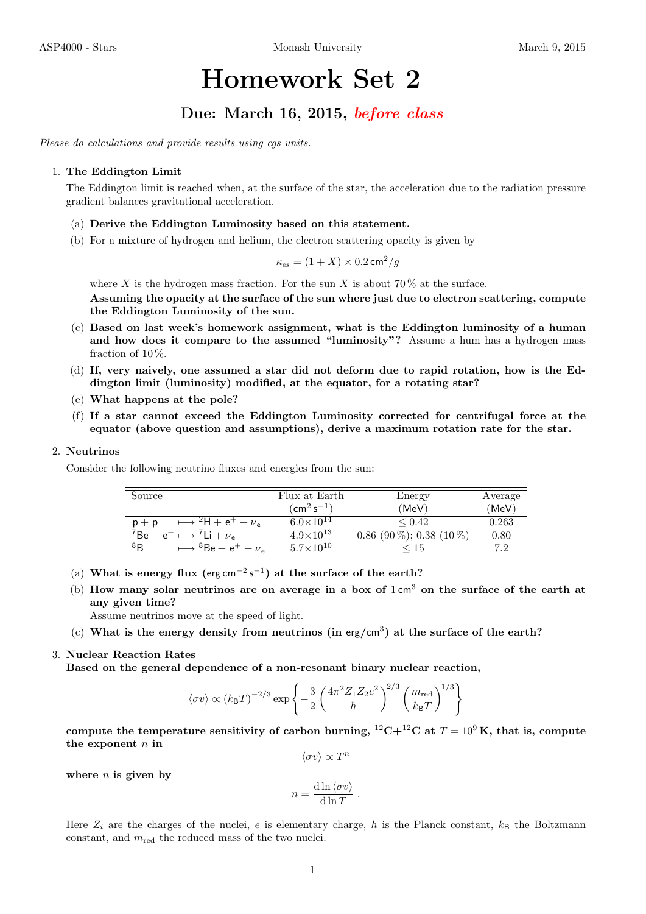# Homework Set 2

# Due: March 16, 2015, before class

Please do calculations and provide results using cas units.

# 1. The Eddington Limit

The Eddington limit is reached when, at the surface of the star, the acceleration due to the radiation pressure gradient balances gravitational acceleration.

#### (a) Derive the Eddington Luminosity based on this statement.

(b) For a mixture of hydrogen and helium, the electron scattering opacity is given by

$$
\kappa_{\rm es} = (1+X) \times 0.2 \,\mathrm{cm}^2/g
$$

where X is the hydrogen mass fraction. For the sun X is about 70 % at the surface.

Assuming the opacity at the surface of the sun where just due to electron scattering, compute the Eddington Luminosity of the sun.

- (c) Based on last week's homework assignment, what is the Eddington luminosity of a human and how does it compare to the assumed "luminosity"? Assume a hum has a hydrogen mass fraction of 10 %.
- (d) If, very naively, one assumed a star did not deform due to rapid rotation, how is the Eddington limit (luminosity) modified, at the equator, for a rotating star?
- (e) What happens at the pole?
- (f) If a star cannot exceed the Eddington Luminosity corrected for centrifugal force at the equator (above question and assumptions), derive a maximum rotation rate for the star.

#### 2. Neutrinos

Consider the following neutrino fluxes and energies from the sun:

| Source                                                                     | Flux at Earth        | Energy                     | Average |
|----------------------------------------------------------------------------|----------------------|----------------------------|---------|
|                                                                            | $\rm (cm^2\,s^{-1})$ | (MeV)                      | (MeV)   |
| $\rightarrow$ <sup>2</sup> H + e <sup>+</sup> + $\nu_e$<br>$p + p$         | $6.0\times10^{14}$   | $\leq 0.42$                | 0.263   |
| ${}^{7}Be + e^{-} \longmapsto {}^{7}Li + \nu_{e}$                          | $4.9\times10^{13}$   | $0.86$ (90 %); 0.38 (10 %) | 0.80    |
| ${}^{8}B$<br>$\rightarrow$ $^{8}$ Be + e <sup>+</sup> + $\nu$ <sub>e</sub> | $5.7\times10^{10}$   | $\leq 15$                  | 7.2     |

(a) What is energy flux (erg cm<sup>-2</sup>s<sup>-1</sup>) at the surface of the earth?

(b) How many solar neutrinos are on average in a box of  $1 \text{ cm}^3$  on the surface of the earth at any given time?

Assume neutrinos move at the speed of light.

(c) What is the energy density from neutrinos (in erg/cm<sup>3</sup>) at the surface of the earth?

#### 3. Nuclear Reaction Rates

Based on the general dependence of a non-resonant binary nuclear reaction,

$$
\langle \sigma v \rangle \propto \left(k_{\text{B}}T\right)^{-2/3} \exp\left\{-\frac{3}{2}\left(\frac{4\pi^2 Z_1 Z_2 e^2}{h}\right)^{2/3}\left(\frac{m_{\text{red}}}{k_{\text{B}}T}\right)^{1/3}\right\}
$$

compute the temperature sensitivity of carbon burning, <sup>12</sup>C+<sup>12</sup>C at  $T = 10^9$  K, that is, compute the exponent  $n$  in

 $\langle \sigma v \rangle \propto T^n$ 

where  $n$  is given by

$$
n = \frac{\mathrm{d}\ln \langle \sigma v \rangle}{\mathrm{d}\ln T}.
$$

Here  $Z_i$  are the charges of the nuclei, e is elementary charge, h is the Planck constant,  $k_B$  the Boltzmann constant, and  $m_{\text{red}}$  the reduced mass of the two nuclei.